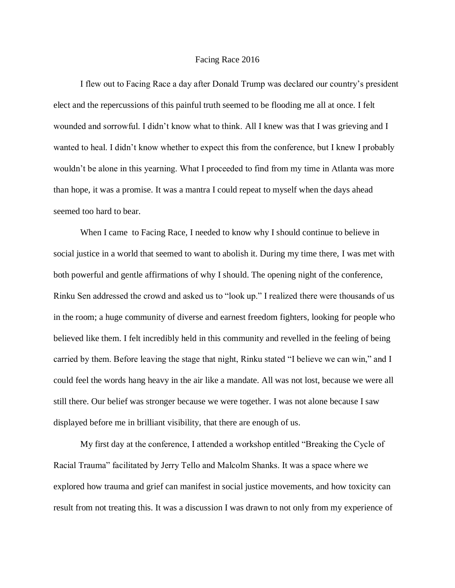## Facing Race 2016

I flew out to Facing Race a day after Donald Trump was declared our country's president elect and the repercussions of this painful truth seemed to be flooding me all at once. I felt wounded and sorrowful. I didn't know what to think. All I knew was that I was grieving and I wanted to heal. I didn't know whether to expect this from the conference, but I knew I probably wouldn't be alone in this yearning. What I proceeded to find from my time in Atlanta was more than hope, it was a promise. It was a mantra I could repeat to myself when the days ahead seemed too hard to bear.

When I came to Facing Race, I needed to know why I should continue to believe in social justice in a world that seemed to want to abolish it. During my time there, I was met with both powerful and gentle affirmations of why I should. The opening night of the conference, Rinku Sen addressed the crowd and asked us to "look up." I realized there were thousands of us in the room; a huge community of diverse and earnest freedom fighters, looking for people who believed like them. I felt incredibly held in this community and revelled in the feeling of being carried by them. Before leaving the stage that night, Rinku stated "I believe we can win," and I could feel the words hang heavy in the air like a mandate. All was not lost, because we were all still there. Our belief was stronger because we were together. I was not alone because I saw displayed before me in brilliant visibility, that there are enough of us.

My first day at the conference, I attended a workshop entitled "Breaking the Cycle of Racial Trauma" facilitated by Jerry Tello and Malcolm Shanks. It was a space where we explored how trauma and grief can manifest in social justice movements, and how toxicity can result from not treating this. It was a discussion I was drawn to not only from my experience of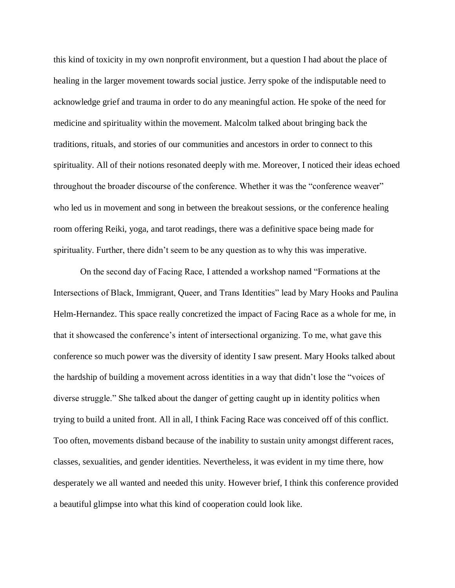this kind of toxicity in my own nonprofit environment, but a question I had about the place of healing in the larger movement towards social justice. Jerry spoke of the indisputable need to acknowledge grief and trauma in order to do any meaningful action. He spoke of the need for medicine and spirituality within the movement. Malcolm talked about bringing back the traditions, rituals, and stories of our communities and ancestors in order to connect to this spirituality. All of their notions resonated deeply with me. Moreover, I noticed their ideas echoed throughout the broader discourse of the conference. Whether it was the "conference weaver" who led us in movement and song in between the breakout sessions, or the conference healing room offering Reiki, yoga, and tarot readings, there was a definitive space being made for spirituality. Further, there didn't seem to be any question as to why this was imperative.

On the second day of Facing Race, I attended a workshop named "Formations at the Intersections of Black, Immigrant, Queer, and Trans Identities" lead by Mary Hooks and Paulina Helm-Hernandez. This space really concretized the impact of Facing Race as a whole for me, in that it showcased the conference's intent of intersectional organizing. To me, what gave this conference so much power was the diversity of identity I saw present. Mary Hooks talked about the hardship of building a movement across identities in a way that didn't lose the "voices of diverse struggle." She talked about the danger of getting caught up in identity politics when trying to build a united front. All in all, I think Facing Race was conceived off of this conflict. Too often, movements disband because of the inability to sustain unity amongst different races, classes, sexualities, and gender identities. Nevertheless, it was evident in my time there, how desperately we all wanted and needed this unity. However brief, I think this conference provided a beautiful glimpse into what this kind of cooperation could look like.